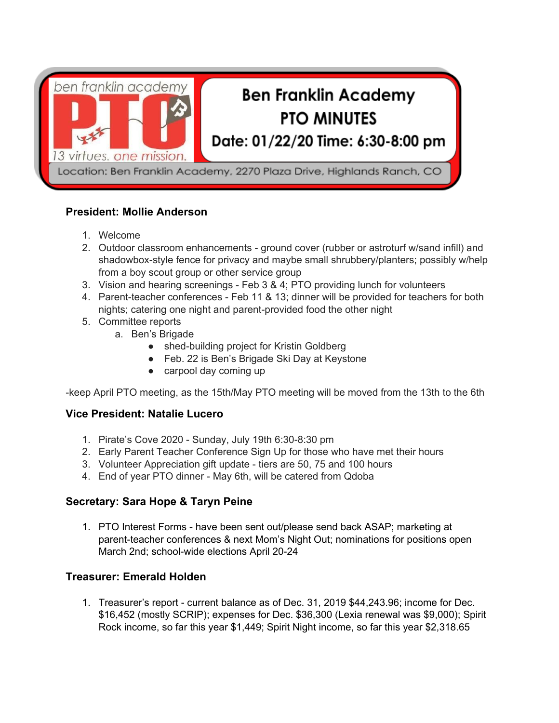

## **President: Mollie Anderson**

- 1. Welcome
- 2. Outdoor classroom enhancements ground cover (rubber or astroturf w/sand infill) and shadowbox-style fence for privacy and maybe small shrubbery/planters; possibly w/help from a boy scout group or other service group
- 3. Vision and hearing screenings Feb 3 & 4; PTO providing lunch for volunteers
- 4. Parent-teacher conferences Feb 11 & 13; dinner will be provided for teachers for both nights; catering one night and parent-provided food the other night
- 5. Committee reports
	- a. Ben's Brigade
		- shed-building project for Kristin Goldberg
		- Feb. 22 is Ben's Brigade Ski Day at Keystone
		- carpool day coming up

-keep April PTO meeting, as the 15th/May PTO meeting will be moved from the 13th to the 6th

## **Vice President: Natalie Lucero**

- 1. Pirate's Cove 2020 Sunday, July 19th 6:30-8:30 pm
- 2. Early Parent Teacher Conference Sign Up for those who have met their hours
- 3. Volunteer Appreciation gift update tiers are 50, 75 and 100 hours
- 4. End of year PTO dinner May 6th, will be catered from Qdoba

# **Secretary: Sara Hope & Taryn Peine**

1. PTO Interest Forms - have been sent out/please send back ASAP; marketing at parent-teacher conferences & next Mom's Night Out; nominations for positions open March 2nd; school-wide elections April 20-24

## **Treasurer: Emerald Holden**

1. Treasurer's report - current balance as of Dec. 31, 2019 \$44,243.96; income for Dec. \$16,452 (mostly SCRIP); expenses for Dec. \$36,300 (Lexia renewal was \$9,000); Spirit Rock income, so far this year \$1,449; Spirit Night income, so far this year \$2,318.65